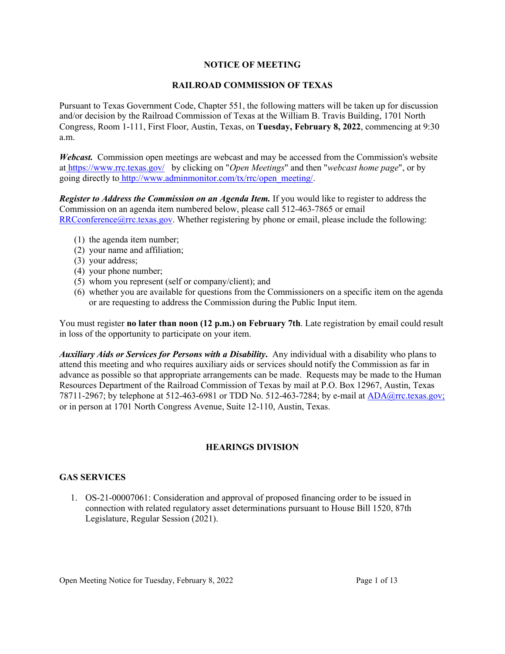## **NOTICE OF MEETING**

## **RAILROAD COMMISSION OF TEXAS**

Pursuant to Texas Government Code, Chapter 551, the following matters will be taken up for discussion and/or decision by the Railroad Commission of Texas at the William B. Travis Building, 1701 North Congress, Room 1-111, First Floor, Austin, Texas, on **Tuesday, February 8, 2022**, commencing at 9:30 a.m.

*Webcast.* Commission open meetings are webcast and may be accessed from the Commission's website at <https://www.rrc.texas.gov/>by clicking on "*Open Meetings*" and then "*webcast home page*", or by going directly to [http://www.adminmonitor.com/tx/rrc/open\\_meeting/.](http://www.adminmonitor.com/tx/rrc/open_meeting/)

*Register to Address the Commission on an Agenda Item.* If you would like to register to address the Commission on an agenda item numbered below, please call 512-463-7865 or email  $RRC$ conference@rrc.texas.gov. Whether registering by phone or email, please include the following:

- (1) the agenda item number;
- (2) your name and affiliation;
- (3) your address;
- (4) your phone number;
- (5) whom you represent (self or company/client); and
- (6) whether you are available for questions from the Commissioners on a specific item on the agenda or are requesting to address the Commission during the Public Input item.

You must register **no later than noon (12 p.m.) on February 7th**. Late registration by email could result in loss of the opportunity to participate on your item.

*Auxiliary Aids or Services for Persons with a Disability***.** Any individual with a disability who plans to attend this meeting and who requires auxiliary aids or services should notify the Commission as far in advance as possible so that appropriate arrangements can be made. Requests may be made to the Human Resources Department of the Railroad Commission of Texas by mail at P.O. Box 12967, Austin, Texas 78711-2967; by telephone at 512-463-6981 or TDD No. 512-463-7284; by e-mail at [ADA@rrc.texas.gov;](mailto:ADA@rrc.texas.gov) or in person at 1701 North Congress Avenue, Suite 12-110, Austin, Texas.

## **HEARINGS DIVISION**

### **GAS SERVICES**

1. OS-21-00007061: Consideration and approval of proposed financing order to be issued in connection with related regulatory asset determinations pursuant to House Bill 1520, 87th Legislature, Regular Session (2021).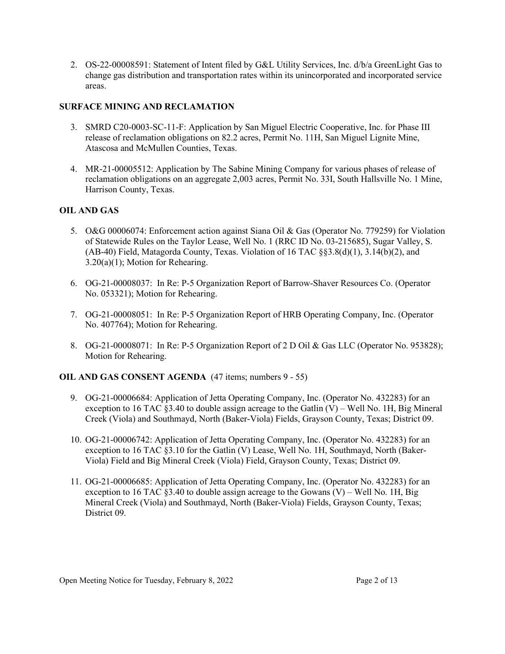2. OS-22-00008591: Statement of Intent filed by G&L Utility Services, Inc. d/b/a GreenLight Gas to change gas distribution and transportation rates within its unincorporated and incorporated service areas.

# **SURFACE MINING AND RECLAMATION**

- 3. SMRD C20-0003-SC-11-F: Application by San Miguel Electric Cooperative, Inc. for Phase III release of reclamation obligations on 82.2 acres, Permit No. 11H, San Miguel Lignite Mine, Atascosa and McMullen Counties, Texas.
- 4. MR-21-00005512: Application by The Sabine Mining Company for various phases of release of reclamation obligations on an aggregate 2,003 acres, Permit No. 33I, South Hallsville No. 1 Mine, Harrison County, Texas.

# **OIL AND GAS**

- 5. O&G 00006074: Enforcement action against Siana Oil & Gas (Operator No. 779259) for Violation of Statewide Rules on the Taylor Lease, Well No. 1 (RRC ID No. 03-215685), Sugar Valley, S. (AB-40) Field, Matagorda County, Texas. Violation of 16 TAC §§3.8(d)(1), 3.14(b)(2), and 3.20(a)(1); Motion for Rehearing.
- 6. OG-21-00008037: In Re: P-5 Organization Report of Barrow-Shaver Resources Co. (Operator No. 053321); Motion for Rehearing.
- 7. OG-21-00008051: In Re: P-5 Organization Report of HRB Operating Company, Inc. (Operator No. 407764); Motion for Rehearing.
- 8. OG-21-00008071: In Re: P-5 Organization Report of 2 D Oil & Gas LLC (Operator No. 953828); Motion for Rehearing.

## **OIL AND GAS CONSENT AGENDA** (47 items; numbers 9 - 55)

- 9. OG-21-00006684: Application of Jetta Operating Company, Inc. (Operator No. 432283) for an exception to 16 TAC  $\S 3.40$  to double assign acreage to the Gatlin (V) – Well No. 1H, Big Mineral Creek (Viola) and Southmayd, North (Baker-Viola) Fields, Grayson County, Texas; District 09.
- 10. OG-21-00006742: Application of Jetta Operating Company, Inc. (Operator No. 432283) for an exception to 16 TAC §3.10 for the Gatlin (V) Lease, Well No. 1H, Southmayd, North (Baker-Viola) Field and Big Mineral Creek (Viola) Field, Grayson County, Texas; District 09.
- 11. OG-21-00006685: Application of Jetta Operating Company, Inc. (Operator No. 432283) for an exception to 16 TAC §3.40 to double assign acreage to the Gowans  $(V)$  – Well No. 1H, Big Mineral Creek (Viola) and Southmayd, North (Baker-Viola) Fields, Grayson County, Texas; District 09.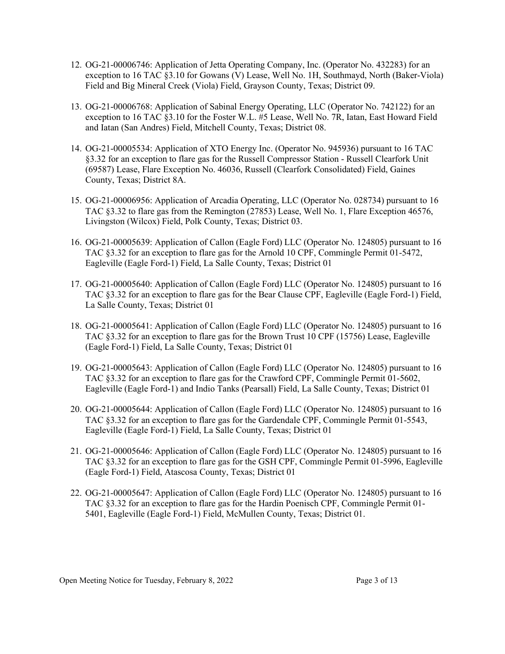- 12. OG-21-00006746: Application of Jetta Operating Company, Inc. (Operator No. 432283) for an exception to 16 TAC §3.10 for Gowans (V) Lease, Well No. 1H, Southmayd, North (Baker-Viola) Field and Big Mineral Creek (Viola) Field, Grayson County, Texas; District 09.
- 13. OG-21-00006768: Application of Sabinal Energy Operating, LLC (Operator No. 742122) for an exception to 16 TAC §3.10 for the Foster W.L. #5 Lease, Well No. 7R, Iatan, East Howard Field and Iatan (San Andres) Field, Mitchell County, Texas; District 08.
- 14. OG-21-00005534: Application of XTO Energy Inc. (Operator No. 945936) pursuant to 16 TAC §3.32 for an exception to flare gas for the Russell Compressor Station - Russell Clearfork Unit (69587) Lease, Flare Exception No. 46036, Russell (Clearfork Consolidated) Field, Gaines County, Texas; District 8A.
- 15. OG-21-00006956: Application of Arcadia Operating, LLC (Operator No. 028734) pursuant to 16 TAC §3.32 to flare gas from the Remington (27853) Lease, Well No. 1, Flare Exception 46576, Livingston (Wilcox) Field, Polk County, Texas; District 03.
- 16. OG-21-00005639: Application of Callon (Eagle Ford) LLC (Operator No. 124805) pursuant to 16 TAC §3.32 for an exception to flare gas for the Arnold 10 CPF, Commingle Permit 01-5472, Eagleville (Eagle Ford-1) Field, La Salle County, Texas; District 01
- 17. OG-21-00005640: Application of Callon (Eagle Ford) LLC (Operator No. 124805) pursuant to 16 TAC §3.32 for an exception to flare gas for the Bear Clause CPF, Eagleville (Eagle Ford-1) Field, La Salle County, Texas; District 01
- 18. OG-21-00005641: Application of Callon (Eagle Ford) LLC (Operator No. 124805) pursuant to 16 TAC §3.32 for an exception to flare gas for the Brown Trust 10 CPF (15756) Lease, Eagleville (Eagle Ford-1) Field, La Salle County, Texas; District 01
- 19. OG-21-00005643: Application of Callon (Eagle Ford) LLC (Operator No. 124805) pursuant to 16 TAC §3.32 for an exception to flare gas for the Crawford CPF, Commingle Permit 01-5602, Eagleville (Eagle Ford-1) and Indio Tanks (Pearsall) Field, La Salle County, Texas; District 01
- 20. OG-21-00005644: Application of Callon (Eagle Ford) LLC (Operator No. 124805) pursuant to 16 TAC §3.32 for an exception to flare gas for the Gardendale CPF, Commingle Permit 01-5543, Eagleville (Eagle Ford-1) Field, La Salle County, Texas; District 01
- 21. OG-21-00005646: Application of Callon (Eagle Ford) LLC (Operator No. 124805) pursuant to 16 TAC §3.32 for an exception to flare gas for the GSH CPF, Commingle Permit 01-5996, Eagleville (Eagle Ford-1) Field, Atascosa County, Texas; District 01
- 22. OG-21-00005647: Application of Callon (Eagle Ford) LLC (Operator No. 124805) pursuant to 16 TAC §3.32 for an exception to flare gas for the Hardin Poenisch CPF, Commingle Permit 01- 5401, Eagleville (Eagle Ford-1) Field, McMullen County, Texas; District 01.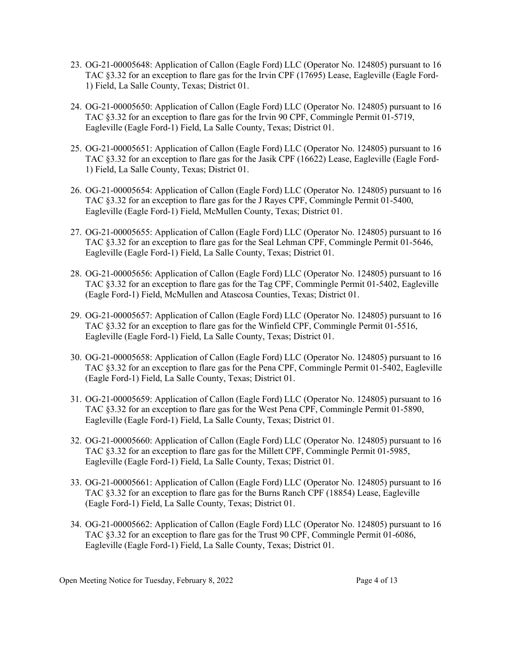- 23. OG-21-00005648: Application of Callon (Eagle Ford) LLC (Operator No. 124805) pursuant to 16 TAC §3.32 for an exception to flare gas for the Irvin CPF (17695) Lease, Eagleville (Eagle Ford-1) Field, La Salle County, Texas; District 01.
- 24. OG-21-00005650: Application of Callon (Eagle Ford) LLC (Operator No. 124805) pursuant to 16 TAC §3.32 for an exception to flare gas for the Irvin 90 CPF, Commingle Permit 01-5719, Eagleville (Eagle Ford-1) Field, La Salle County, Texas; District 01.
- 25. OG-21-00005651: Application of Callon (Eagle Ford) LLC (Operator No. 124805) pursuant to 16 TAC §3.32 for an exception to flare gas for the Jasik CPF (16622) Lease, Eagleville (Eagle Ford-1) Field, La Salle County, Texas; District 01.
- 26. OG-21-00005654: Application of Callon (Eagle Ford) LLC (Operator No. 124805) pursuant to 16 TAC §3.32 for an exception to flare gas for the J Rayes CPF, Commingle Permit 01-5400, Eagleville (Eagle Ford-1) Field, McMullen County, Texas; District 01.
- 27. OG-21-00005655: Application of Callon (Eagle Ford) LLC (Operator No. 124805) pursuant to 16 TAC §3.32 for an exception to flare gas for the Seal Lehman CPF, Commingle Permit 01-5646, Eagleville (Eagle Ford-1) Field, La Salle County, Texas; District 01.
- 28. OG-21-00005656: Application of Callon (Eagle Ford) LLC (Operator No. 124805) pursuant to 16 TAC §3.32 for an exception to flare gas for the Tag CPF, Commingle Permit 01-5402, Eagleville (Eagle Ford-1) Field, McMullen and Atascosa Counties, Texas; District 01.
- 29. OG-21-00005657: Application of Callon (Eagle Ford) LLC (Operator No. 124805) pursuant to 16 TAC §3.32 for an exception to flare gas for the Winfield CPF, Commingle Permit 01-5516, Eagleville (Eagle Ford-1) Field, La Salle County, Texas; District 01.
- 30. OG-21-00005658: Application of Callon (Eagle Ford) LLC (Operator No. 124805) pursuant to 16 TAC §3.32 for an exception to flare gas for the Pena CPF, Commingle Permit 01-5402, Eagleville (Eagle Ford-1) Field, La Salle County, Texas; District 01.
- 31. OG-21-00005659: Application of Callon (Eagle Ford) LLC (Operator No. 124805) pursuant to 16 TAC §3.32 for an exception to flare gas for the West Pena CPF, Commingle Permit 01-5890, Eagleville (Eagle Ford-1) Field, La Salle County, Texas; District 01.
- 32. OG-21-00005660: Application of Callon (Eagle Ford) LLC (Operator No. 124805) pursuant to 16 TAC §3.32 for an exception to flare gas for the Millett CPF, Commingle Permit 01-5985, Eagleville (Eagle Ford-1) Field, La Salle County, Texas; District 01.
- 33. OG-21-00005661: Application of Callon (Eagle Ford) LLC (Operator No. 124805) pursuant to 16 TAC §3.32 for an exception to flare gas for the Burns Ranch CPF (18854) Lease, Eagleville (Eagle Ford-1) Field, La Salle County, Texas; District 01.
- 34. OG-21-00005662: Application of Callon (Eagle Ford) LLC (Operator No. 124805) pursuant to 16 TAC §3.32 for an exception to flare gas for the Trust 90 CPF, Commingle Permit 01-6086, Eagleville (Eagle Ford-1) Field, La Salle County, Texas; District 01.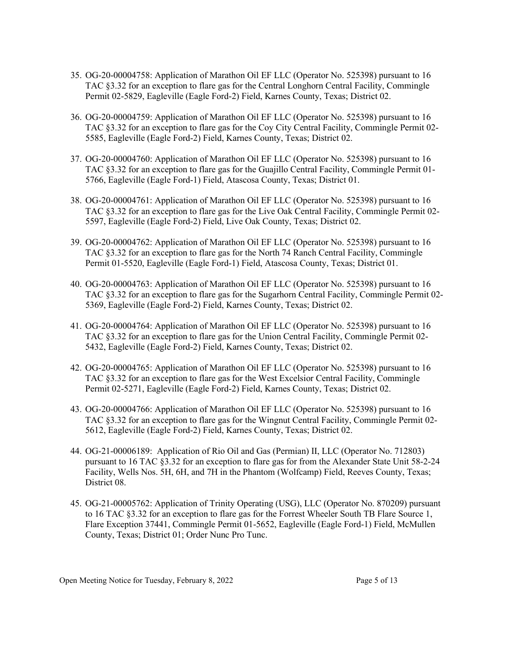- 35. OG-20-00004758: Application of Marathon Oil EF LLC (Operator No. 525398) pursuant to 16 TAC §3.32 for an exception to flare gas for the Central Longhorn Central Facility, Commingle Permit 02-5829, Eagleville (Eagle Ford-2) Field, Karnes County, Texas; District 02.
- 36. OG-20-00004759: Application of Marathon Oil EF LLC (Operator No. 525398) pursuant to 16 TAC §3.32 for an exception to flare gas for the Coy City Central Facility, Commingle Permit 02- 5585, Eagleville (Eagle Ford-2) Field, Karnes County, Texas; District 02.
- 37. OG-20-00004760: Application of Marathon Oil EF LLC (Operator No. 525398) pursuant to 16 TAC §3.32 for an exception to flare gas for the Guajillo Central Facility, Commingle Permit 01- 5766, Eagleville (Eagle Ford-1) Field, Atascosa County, Texas; District 01.
- 38. OG-20-00004761: Application of Marathon Oil EF LLC (Operator No. 525398) pursuant to 16 TAC §3.32 for an exception to flare gas for the Live Oak Central Facility, Commingle Permit 02- 5597, Eagleville (Eagle Ford-2) Field, Live Oak County, Texas; District 02.
- 39. OG-20-00004762: Application of Marathon Oil EF LLC (Operator No. 525398) pursuant to 16 TAC §3.32 for an exception to flare gas for the North 74 Ranch Central Facility, Commingle Permit 01-5520, Eagleville (Eagle Ford-1) Field, Atascosa County, Texas; District 01.
- 40. OG-20-00004763: Application of Marathon Oil EF LLC (Operator No. 525398) pursuant to 16 TAC §3.32 for an exception to flare gas for the Sugarhorn Central Facility, Commingle Permit 02- 5369, Eagleville (Eagle Ford-2) Field, Karnes County, Texas; District 02.
- 41. OG-20-00004764: Application of Marathon Oil EF LLC (Operator No. 525398) pursuant to 16 TAC §3.32 for an exception to flare gas for the Union Central Facility, Commingle Permit 02- 5432, Eagleville (Eagle Ford-2) Field, Karnes County, Texas; District 02.
- 42. OG-20-00004765: Application of Marathon Oil EF LLC (Operator No. 525398) pursuant to 16 TAC §3.32 for an exception to flare gas for the West Excelsior Central Facility, Commingle Permit 02-5271, Eagleville (Eagle Ford-2) Field, Karnes County, Texas; District 02.
- 43. OG-20-00004766: Application of Marathon Oil EF LLC (Operator No. 525398) pursuant to 16 TAC §3.32 for an exception to flare gas for the Wingnut Central Facility, Commingle Permit 02- 5612, Eagleville (Eagle Ford-2) Field, Karnes County, Texas; District 02.
- 44. OG-21-00006189: Application of Rio Oil and Gas (Permian) II, LLC (Operator No. 712803) pursuant to 16 TAC §3.32 for an exception to flare gas for from the Alexander State Unit 58-2-24 Facility, Wells Nos. 5H, 6H, and 7H in the Phantom (Wolfcamp) Field, Reeves County, Texas; District 08.
- 45. OG-21-00005762: Application of Trinity Operating (USG), LLC (Operator No. 870209) pursuant to 16 TAC §3.32 for an exception to flare gas for the Forrest Wheeler South TB Flare Source 1, Flare Exception 37441, Commingle Permit 01-5652, Eagleville (Eagle Ford-1) Field, McMullen County, Texas; District 01; Order Nunc Pro Tunc.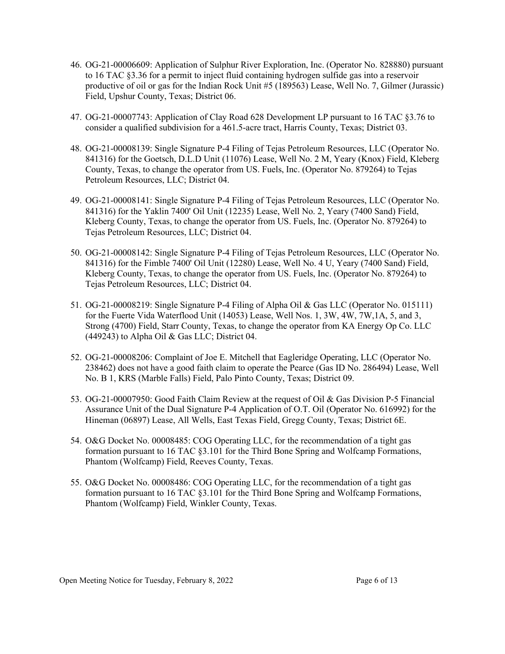- 46. OG-21-00006609: Application of Sulphur River Exploration, Inc. (Operator No. 828880) pursuant to 16 TAC §3.36 for a permit to inject fluid containing hydrogen sulfide gas into a reservoir productive of oil or gas for the Indian Rock Unit #5 (189563) Lease, Well No. 7, Gilmer (Jurassic) Field, Upshur County, Texas; District 06.
- 47. OG-21-00007743: Application of Clay Road 628 Development LP pursuant to 16 TAC §3.76 to consider a qualified subdivision for a 461.5-acre tract, Harris County, Texas; District 03.
- 48. OG-21-00008139: Single Signature P-4 Filing of Tejas Petroleum Resources, LLC (Operator No. 841316) for the Goetsch, D.L.D Unit (11076) Lease, Well No. 2 M, Yeary (Knox) Field, Kleberg County, Texas, to change the operator from US. Fuels, Inc. (Operator No. 879264) to Tejas Petroleum Resources, LLC; District 04.
- 49. OG-21-00008141: Single Signature P-4 Filing of Tejas Petroleum Resources, LLC (Operator No. 841316) for the Yaklin 7400' Oil Unit (12235) Lease, Well No. 2, Yeary (7400 Sand) Field, Kleberg County, Texas, to change the operator from US. Fuels, Inc. (Operator No. 879264) to Tejas Petroleum Resources, LLC; District 04.
- 50. OG-21-00008142: Single Signature P-4 Filing of Tejas Petroleum Resources, LLC (Operator No. 841316) for the Fimble 7400' Oil Unit (12280) Lease, Well No. 4 U, Yeary (7400 Sand) Field, Kleberg County, Texas, to change the operator from US. Fuels, Inc. (Operator No. 879264) to Tejas Petroleum Resources, LLC; District 04.
- 51. OG-21-00008219: Single Signature P-4 Filing of Alpha Oil & Gas LLC (Operator No. 015111) for the Fuerte Vida Waterflood Unit (14053) Lease, Well Nos. 1, 3W, 4W, 7W,1A, 5, and 3, Strong (4700) Field, Starr County, Texas, to change the operator from KA Energy Op Co. LLC (449243) to Alpha Oil & Gas LLC; District 04.
- 52. OG-21-00008206: Complaint of Joe E. Mitchell that Eagleridge Operating, LLC (Operator No. 238462) does not have a good faith claim to operate the Pearce (Gas ID No. 286494) Lease, Well No. B 1, KRS (Marble Falls) Field, Palo Pinto County, Texas; District 09.
- 53. OG-21-00007950: Good Faith Claim Review at the request of Oil & Gas Division P-5 Financial Assurance Unit of the Dual Signature P-4 Application of O.T. Oil (Operator No. 616992) for the Hineman (06897) Lease, All Wells, East Texas Field, Gregg County, Texas; District 6E.
- 54. O&G Docket No. 00008485: COG Operating LLC, for the recommendation of a tight gas formation pursuant to 16 TAC §3.101 for the Third Bone Spring and Wolfcamp Formations, Phantom (Wolfcamp) Field, Reeves County, Texas.
- 55. O&G Docket No. 00008486: COG Operating LLC, for the recommendation of a tight gas formation pursuant to 16 TAC §3.101 for the Third Bone Spring and Wolfcamp Formations, Phantom (Wolfcamp) Field, Winkler County, Texas.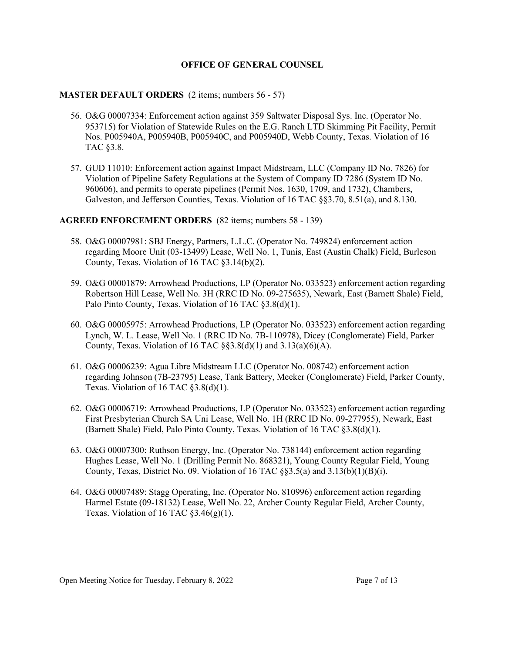### **OFFICE OF GENERAL COUNSEL**

### **MASTER DEFAULT ORDERS** (2 items; numbers 56 - 57)

- 56. O&G 00007334: Enforcement action against 359 Saltwater Disposal Sys. Inc. (Operator No. 953715) for Violation of Statewide Rules on the E.G. Ranch LTD Skimming Pit Facility, Permit Nos. P005940A, P005940B, P005940C, and P005940D, Webb County, Texas. Violation of 16 TAC §3.8.
- 57. GUD 11010: Enforcement action against Impact Midstream, LLC (Company ID No. 7826) for Violation of Pipeline Safety Regulations at the System of Company ID 7286 (System ID No. 960606), and permits to operate pipelines (Permit Nos. 1630, 1709, and 1732), Chambers, Galveston, and Jefferson Counties, Texas. Violation of 16 TAC §§3.70, 8.51(a), and 8.130.

#### **AGREED ENFORCEMENT ORDERS** (82 items; numbers 58 - 139)

- 58. O&G 00007981: SBJ Energy, Partners, L.L.C. (Operator No. 749824) enforcement action regarding Moore Unit (03-13499) Lease, Well No. 1, Tunis, East (Austin Chalk) Field, Burleson County, Texas. Violation of 16 TAC §3.14(b)(2).
- 59. O&G 00001879: Arrowhead Productions, LP (Operator No. 033523) enforcement action regarding Robertson Hill Lease, Well No. 3H (RRC ID No. 09-275635), Newark, East (Barnett Shale) Field, Palo Pinto County, Texas. Violation of 16 TAC §3.8(d)(1).
- 60. O&G 00005975: Arrowhead Productions, LP (Operator No. 033523) enforcement action regarding Lynch, W. L. Lease, Well No. 1 (RRC ID No. 7B-110978), Dicey (Conglomerate) Field, Parker County, Texas. Violation of 16 TAC  $\S$ §3.8(d)(1) and 3.13(a)(6)(A).
- 61. O&G 00006239: Agua Libre Midstream LLC (Operator No. 008742) enforcement action regarding Johnson (7B-23795) Lease, Tank Battery, Meeker (Conglomerate) Field, Parker County, Texas. Violation of 16 TAC §3.8(d)(1).
- 62. O&G 00006719: Arrowhead Productions, LP (Operator No. 033523) enforcement action regarding First Presbyterian Church SA Uni Lease, Well No. 1H (RRC ID No. 09-277955), Newark, East (Barnett Shale) Field, Palo Pinto County, Texas. Violation of 16 TAC §3.8(d)(1).
- 63. O&G 00007300: Ruthson Energy, Inc. (Operator No. 738144) enforcement action regarding Hughes Lease, Well No. 1 (Drilling Permit No. 868321), Young County Regular Field, Young County, Texas, District No. 09. Violation of 16 TAC  $\S$ §3.5(a) and 3.13(b)(1)(B)(i).
- 64. O&G 00007489: Stagg Operating, Inc. (Operator No. 810996) enforcement action regarding Harmel Estate (09-18132) Lease, Well No. 22, Archer County Regular Field, Archer County, Texas. Violation of 16 TAC  $\S 3.46(g)(1)$ .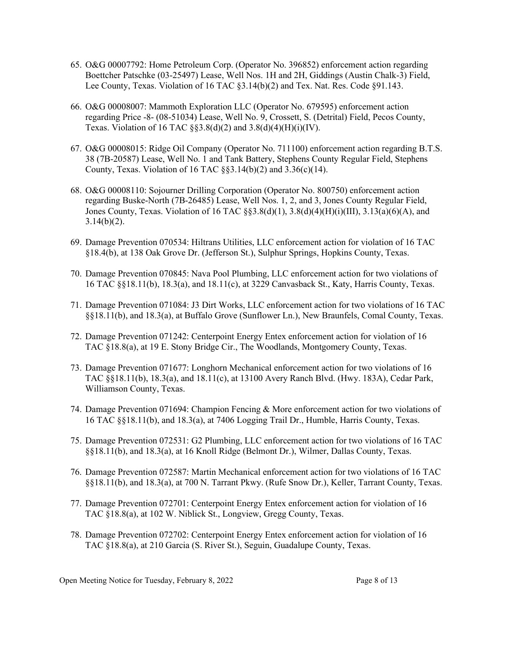- 65. O&G 00007792: Home Petroleum Corp. (Operator No. 396852) enforcement action regarding Boettcher Patschke (03-25497) Lease, Well Nos. 1H and 2H, Giddings (Austin Chalk-3) Field, Lee County, Texas. Violation of 16 TAC §3.14(b)(2) and Tex. Nat. Res. Code §91.143.
- 66. O&G 00008007: Mammoth Exploration LLC (Operator No. 679595) enforcement action regarding Price -8- (08-51034) Lease, Well No. 9, Crossett, S. (Detrital) Field, Pecos County, Texas. Violation of 16 TAC  $\S$ §3.8(d)(2) and 3.8(d)(4)(H)(i)(IV).
- 67. O&G 00008015: Ridge Oil Company (Operator No. 711100) enforcement action regarding B.T.S. 38 (7B-20587) Lease, Well No. 1 and Tank Battery, Stephens County Regular Field, Stephens County, Texas. Violation of 16 TAC  $\S$ §3.14(b)(2) and 3.36(c)(14).
- 68. O&G 00008110: Sojourner Drilling Corporation (Operator No. 800750) enforcement action regarding Buske-North (7B-26485) Lease, Well Nos. 1, 2, and 3, Jones County Regular Field, Jones County, Texas. Violation of 16 TAC §§3.8(d)(1), 3.8(d)(4)(H)(i)(III), 3.13(a)(6)(A), and  $3.14(b)(2)$ .
- 69. Damage Prevention 070534: Hiltrans Utilities, LLC enforcement action for violation of 16 TAC §18.4(b), at 138 Oak Grove Dr. (Jefferson St.), Sulphur Springs, Hopkins County, Texas.
- 70. Damage Prevention 070845: Nava Pool Plumbing, LLC enforcement action for two violations of 16 TAC §§18.11(b), 18.3(a), and 18.11(c), at 3229 Canvasback St., Katy, Harris County, Texas.
- 71. Damage Prevention 071084: J3 Dirt Works, LLC enforcement action for two violations of 16 TAC §§18.11(b), and 18.3(a), at Buffalo Grove (Sunflower Ln.), New Braunfels, Comal County, Texas.
- 72. Damage Prevention 071242: Centerpoint Energy Entex enforcement action for violation of 16 TAC §18.8(a), at 19 E. Stony Bridge Cir., The Woodlands, Montgomery County, Texas.
- 73. Damage Prevention 071677: Longhorn Mechanical enforcement action for two violations of 16 TAC §§18.11(b), 18.3(a), and 18.11(c), at 13100 Avery Ranch Blvd. (Hwy. 183A), Cedar Park, Williamson County, Texas.
- 74. Damage Prevention 071694: Champion Fencing & More enforcement action for two violations of 16 TAC §§18.11(b), and 18.3(a), at 7406 Logging Trail Dr., Humble, Harris County, Texas.
- 75. Damage Prevention 072531: G2 Plumbing, LLC enforcement action for two violations of 16 TAC §§18.11(b), and 18.3(a), at 16 Knoll Ridge (Belmont Dr.), Wilmer, Dallas County, Texas.
- 76. Damage Prevention 072587: Martin Mechanical enforcement action for two violations of 16 TAC §§18.11(b), and 18.3(a), at 700 N. Tarrant Pkwy. (Rufe Snow Dr.), Keller, Tarrant County, Texas.
- 77. Damage Prevention 072701: Centerpoint Energy Entex enforcement action for violation of 16 TAC §18.8(a), at 102 W. Niblick St., Longview, Gregg County, Texas.
- 78. Damage Prevention 072702: Centerpoint Energy Entex enforcement action for violation of 16 TAC §18.8(a), at 210 Garcia (S. River St.), Seguin, Guadalupe County, Texas.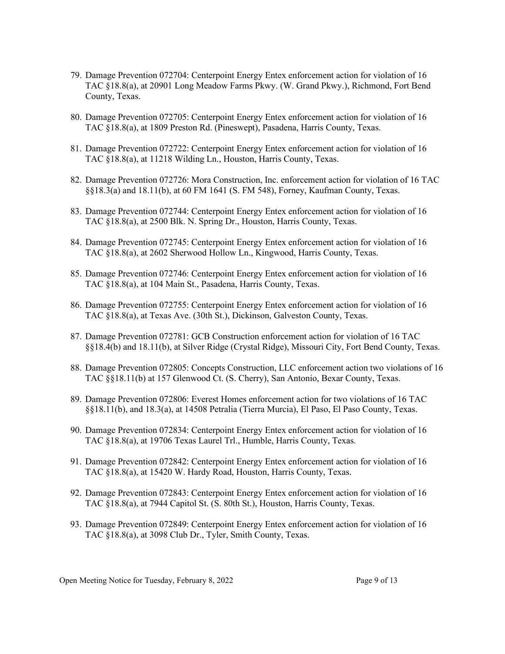- 79. Damage Prevention 072704: Centerpoint Energy Entex enforcement action for violation of 16 TAC §18.8(a), at 20901 Long Meadow Farms Pkwy. (W. Grand Pkwy.), Richmond, Fort Bend County, Texas.
- 80. Damage Prevention 072705: Centerpoint Energy Entex enforcement action for violation of 16 TAC §18.8(a), at 1809 Preston Rd. (Pineswept), Pasadena, Harris County, Texas.
- 81. Damage Prevention 072722: Centerpoint Energy Entex enforcement action for violation of 16 TAC §18.8(a), at 11218 Wilding Ln., Houston, Harris County, Texas.
- 82. Damage Prevention 072726: Mora Construction, Inc. enforcement action for violation of 16 TAC §§18.3(a) and 18.11(b), at 60 FM 1641 (S. FM 548), Forney, Kaufman County, Texas.
- 83. Damage Prevention 072744: Centerpoint Energy Entex enforcement action for violation of 16 TAC §18.8(a), at 2500 Blk. N. Spring Dr., Houston, Harris County, Texas.
- 84. Damage Prevention 072745: Centerpoint Energy Entex enforcement action for violation of 16 TAC §18.8(a), at 2602 Sherwood Hollow Ln., Kingwood, Harris County, Texas.
- 85. Damage Prevention 072746: Centerpoint Energy Entex enforcement action for violation of 16 TAC §18.8(a), at 104 Main St., Pasadena, Harris County, Texas.
- 86. Damage Prevention 072755: Centerpoint Energy Entex enforcement action for violation of 16 TAC §18.8(a), at Texas Ave. (30th St.), Dickinson, Galveston County, Texas.
- 87. Damage Prevention 072781: GCB Construction enforcement action for violation of 16 TAC §§18.4(b) and 18.11(b), at Silver Ridge (Crystal Ridge), Missouri City, Fort Bend County, Texas.
- 88. Damage Prevention 072805: Concepts Construction, LLC enforcement action two violations of 16 TAC §§18.11(b) at 157 Glenwood Ct. (S. Cherry), San Antonio, Bexar County, Texas.
- 89. Damage Prevention 072806: Everest Homes enforcement action for two violations of 16 TAC §§18.11(b), and 18.3(a), at 14508 Petralia (Tierra Murcia), El Paso, El Paso County, Texas.
- 90. Damage Prevention 072834: Centerpoint Energy Entex enforcement action for violation of 16 TAC §18.8(a), at 19706 Texas Laurel Trl., Humble, Harris County, Texas.
- 91. Damage Prevention 072842: Centerpoint Energy Entex enforcement action for violation of 16 TAC §18.8(a), at 15420 W. Hardy Road, Houston, Harris County, Texas.
- 92. Damage Prevention 072843: Centerpoint Energy Entex enforcement action for violation of 16 TAC §18.8(a), at 7944 Capitol St. (S. 80th St.), Houston, Harris County, Texas.
- 93. Damage Prevention 072849: Centerpoint Energy Entex enforcement action for violation of 16 TAC §18.8(a), at 3098 Club Dr., Tyler, Smith County, Texas.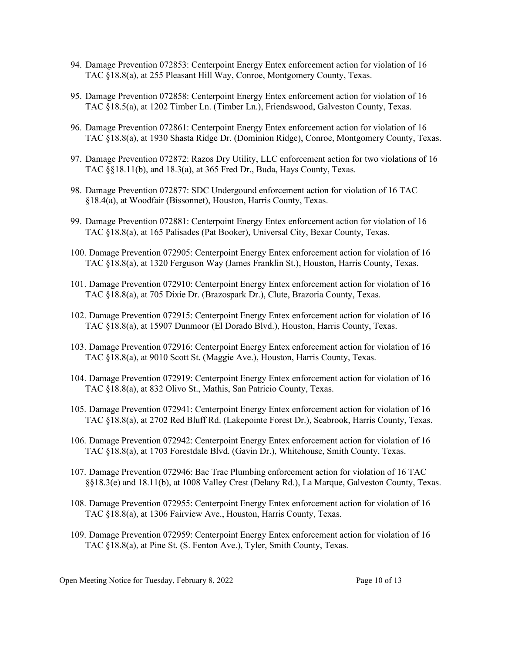- 94. Damage Prevention 072853: Centerpoint Energy Entex enforcement action for violation of 16 TAC §18.8(a), at 255 Pleasant Hill Way, Conroe, Montgomery County, Texas.
- 95. Damage Prevention 072858: Centerpoint Energy Entex enforcement action for violation of 16 TAC §18.5(a), at 1202 Timber Ln. (Timber Ln.), Friendswood, Galveston County, Texas.
- 96. Damage Prevention 072861: Centerpoint Energy Entex enforcement action for violation of 16 TAC §18.8(a), at 1930 Shasta Ridge Dr. (Dominion Ridge), Conroe, Montgomery County, Texas.
- 97. Damage Prevention 072872: Razos Dry Utility, LLC enforcement action for two violations of 16 TAC §§18.11(b), and 18.3(a), at 365 Fred Dr., Buda, Hays County, Texas.
- 98. Damage Prevention 072877: SDC Undergound enforcement action for violation of 16 TAC §18.4(a), at Woodfair (Bissonnet), Houston, Harris County, Texas.
- 99. Damage Prevention 072881: Centerpoint Energy Entex enforcement action for violation of 16 TAC §18.8(a), at 165 Palisades (Pat Booker), Universal City, Bexar County, Texas.
- 100. Damage Prevention 072905: Centerpoint Energy Entex enforcement action for violation of 16 TAC §18.8(a), at 1320 Ferguson Way (James Franklin St.), Houston, Harris County, Texas.
- 101. Damage Prevention 072910: Centerpoint Energy Entex enforcement action for violation of 16 TAC §18.8(a), at 705 Dixie Dr. (Brazospark Dr.), Clute, Brazoria County, Texas.
- 102. Damage Prevention 072915: Centerpoint Energy Entex enforcement action for violation of 16 TAC §18.8(a), at 15907 Dunmoor (El Dorado Blvd.), Houston, Harris County, Texas.
- 103. Damage Prevention 072916: Centerpoint Energy Entex enforcement action for violation of 16 TAC §18.8(a), at 9010 Scott St. (Maggie Ave.), Houston, Harris County, Texas.
- 104. Damage Prevention 072919: Centerpoint Energy Entex enforcement action for violation of 16 TAC §18.8(a), at 832 Olivo St., Mathis, San Patricio County, Texas.
- 105. Damage Prevention 072941: Centerpoint Energy Entex enforcement action for violation of 16 TAC §18.8(a), at 2702 Red Bluff Rd. (Lakepointe Forest Dr.), Seabrook, Harris County, Texas.
- 106. Damage Prevention 072942: Centerpoint Energy Entex enforcement action for violation of 16 TAC §18.8(a), at 1703 Forestdale Blvd. (Gavin Dr.), Whitehouse, Smith County, Texas.
- 107. Damage Prevention 072946: Bac Trac Plumbing enforcement action for violation of 16 TAC §§18.3(e) and 18.11(b), at 1008 Valley Crest (Delany Rd.), La Marque, Galveston County, Texas.
- 108. Damage Prevention 072955: Centerpoint Energy Entex enforcement action for violation of 16 TAC §18.8(a), at 1306 Fairview Ave., Houston, Harris County, Texas.
- 109. Damage Prevention 072959: Centerpoint Energy Entex enforcement action for violation of 16 TAC §18.8(a), at Pine St. (S. Fenton Ave.), Tyler, Smith County, Texas.

Open Meeting Notice for Tuesday, February 8, 2022 Page 10 of 13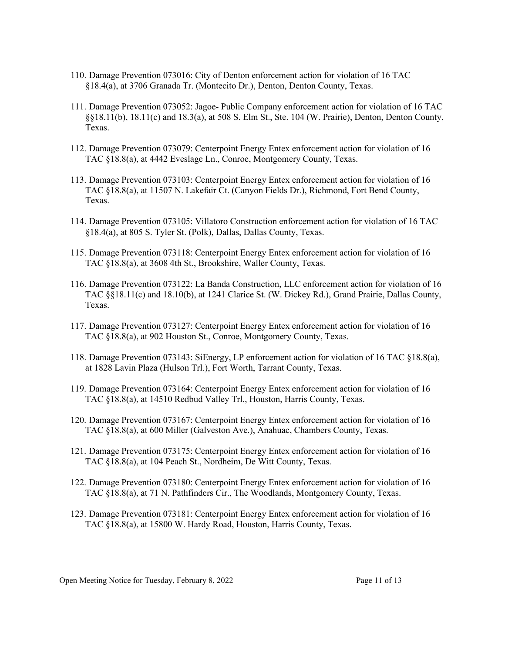- 110. Damage Prevention 073016: City of Denton enforcement action for violation of 16 TAC §18.4(a), at 3706 Granada Tr. (Montecito Dr.), Denton, Denton County, Texas.
- 111. Damage Prevention 073052: Jagoe- Public Company enforcement action for violation of 16 TAC §§18.11(b), 18.11(c) and 18.3(a), at 508 S. Elm St., Ste. 104 (W. Prairie), Denton, Denton County, Texas.
- 112. Damage Prevention 073079: Centerpoint Energy Entex enforcement action for violation of 16 TAC §18.8(a), at 4442 Eveslage Ln., Conroe, Montgomery County, Texas.
- 113. Damage Prevention 073103: Centerpoint Energy Entex enforcement action for violation of 16 TAC §18.8(a), at 11507 N. Lakefair Ct. (Canyon Fields Dr.), Richmond, Fort Bend County, Texas.
- 114. Damage Prevention 073105: Villatoro Construction enforcement action for violation of 16 TAC §18.4(a), at 805 S. Tyler St. (Polk), Dallas, Dallas County, Texas.
- 115. Damage Prevention 073118: Centerpoint Energy Entex enforcement action for violation of 16 TAC §18.8(a), at 3608 4th St., Brookshire, Waller County, Texas.
- 116. Damage Prevention 073122: La Banda Construction, LLC enforcement action for violation of 16 TAC §§18.11(c) and 18.10(b), at 1241 Clarice St. (W. Dickey Rd.), Grand Prairie, Dallas County, Texas.
- 117. Damage Prevention 073127: Centerpoint Energy Entex enforcement action for violation of 16 TAC §18.8(a), at 902 Houston St., Conroe, Montgomery County, Texas.
- 118. Damage Prevention 073143: SiEnergy, LP enforcement action for violation of 16 TAC §18.8(a), at 1828 Lavin Plaza (Hulson Trl.), Fort Worth, Tarrant County, Texas.
- 119. Damage Prevention 073164: Centerpoint Energy Entex enforcement action for violation of 16 TAC §18.8(a), at 14510 Redbud Valley Trl., Houston, Harris County, Texas.
- 120. Damage Prevention 073167: Centerpoint Energy Entex enforcement action for violation of 16 TAC §18.8(a), at 600 Miller (Galveston Ave.), Anahuac, Chambers County, Texas.
- 121. Damage Prevention 073175: Centerpoint Energy Entex enforcement action for violation of 16 TAC §18.8(a), at 104 Peach St., Nordheim, De Witt County, Texas.
- 122. Damage Prevention 073180: Centerpoint Energy Entex enforcement action for violation of 16 TAC §18.8(a), at 71 N. Pathfinders Cir., The Woodlands, Montgomery County, Texas.
- 123. Damage Prevention 073181: Centerpoint Energy Entex enforcement action for violation of 16 TAC §18.8(a), at 15800 W. Hardy Road, Houston, Harris County, Texas.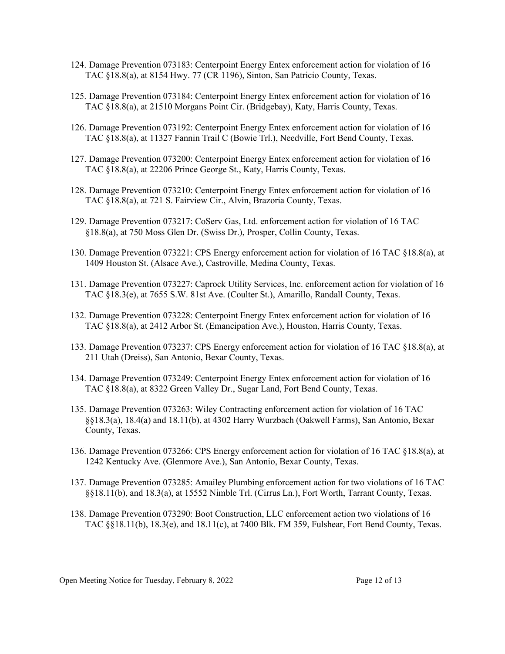- 124. Damage Prevention 073183: Centerpoint Energy Entex enforcement action for violation of 16 TAC §18.8(a), at 8154 Hwy. 77 (CR 1196), Sinton, San Patricio County, Texas.
- 125. Damage Prevention 073184: Centerpoint Energy Entex enforcement action for violation of 16 TAC §18.8(a), at 21510 Morgans Point Cir. (Bridgebay), Katy, Harris County, Texas.
- 126. Damage Prevention 073192: Centerpoint Energy Entex enforcement action for violation of 16 TAC §18.8(a), at 11327 Fannin Trail C (Bowie Trl.), Needville, Fort Bend County, Texas.
- 127. Damage Prevention 073200: Centerpoint Energy Entex enforcement action for violation of 16 TAC §18.8(a), at 22206 Prince George St., Katy, Harris County, Texas.
- 128. Damage Prevention 073210: Centerpoint Energy Entex enforcement action for violation of 16 TAC §18.8(a), at 721 S. Fairview Cir., Alvin, Brazoria County, Texas.
- 129. Damage Prevention 073217: CoServ Gas, Ltd. enforcement action for violation of 16 TAC §18.8(a), at 750 Moss Glen Dr. (Swiss Dr.), Prosper, Collin County, Texas.
- 130. Damage Prevention 073221: CPS Energy enforcement action for violation of 16 TAC §18.8(a), at 1409 Houston St. (Alsace Ave.), Castroville, Medina County, Texas.
- 131. Damage Prevention 073227: Caprock Utility Services, Inc. enforcement action for violation of 16 TAC §18.3(e), at 7655 S.W. 81st Ave. (Coulter St.), Amarillo, Randall County, Texas.
- 132. Damage Prevention 073228: Centerpoint Energy Entex enforcement action for violation of 16 TAC §18.8(a), at 2412 Arbor St. (Emancipation Ave.), Houston, Harris County, Texas.
- 133. Damage Prevention 073237: CPS Energy enforcement action for violation of 16 TAC §18.8(a), at 211 Utah (Dreiss), San Antonio, Bexar County, Texas.
- 134. Damage Prevention 073249: Centerpoint Energy Entex enforcement action for violation of 16 TAC §18.8(a), at 8322 Green Valley Dr., Sugar Land, Fort Bend County, Texas.
- 135. Damage Prevention 073263: Wiley Contracting enforcement action for violation of 16 TAC §§18.3(a), 18.4(a) and 18.11(b), at 4302 Harry Wurzbach (Oakwell Farms), San Antonio, Bexar County, Texas.
- 136. Damage Prevention 073266: CPS Energy enforcement action for violation of 16 TAC §18.8(a), at 1242 Kentucky Ave. (Glenmore Ave.), San Antonio, Bexar County, Texas.
- 137. Damage Prevention 073285: Amailey Plumbing enforcement action for two violations of 16 TAC §§18.11(b), and 18.3(a), at 15552 Nimble Trl. (Cirrus Ln.), Fort Worth, Tarrant County, Texas.
- 138. Damage Prevention 073290: Boot Construction, LLC enforcement action two violations of 16 TAC §§18.11(b), 18.3(e), and 18.11(c), at 7400 Blk. FM 359, Fulshear, Fort Bend County, Texas.